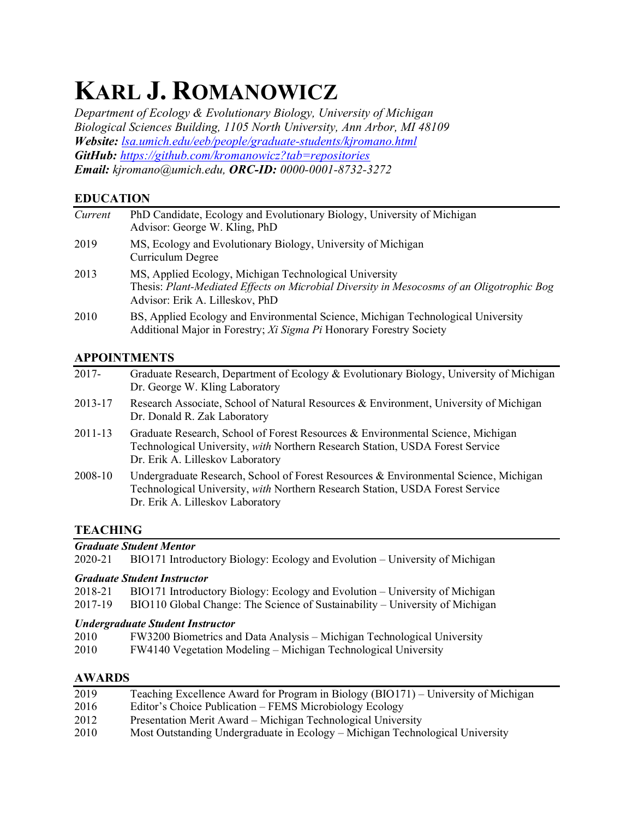# **KARL J. ROMANOWICZ**

*Department of Ecology & Evolutionary Biology, University of Michigan Biological Sciences Building, 1105 North University, Ann Arbor, MI 48109 Website: [lsa.umich.edu/eeb/people/graduate-students/kjromano.html](https://lsa.umich.edu/eeb/people/graduate-students/kjromano.html) GitHub: <https://github.com/kromanowicz?tab=repositories> Email: kjromano@umich.edu, ORC-ID: 0000-0001-8732-3272*

# **EDUCATION**

| Current | PhD Candidate, Ecology and Evolutionary Biology, University of Michigan<br>Advisor: George W. Kling, PhD                                                                               |
|---------|----------------------------------------------------------------------------------------------------------------------------------------------------------------------------------------|
| 2019    | MS, Ecology and Evolutionary Biology, University of Michigan<br>Curriculum Degree                                                                                                      |
| 2013    | MS, Applied Ecology, Michigan Technological University<br>Thesis: Plant-Mediated Effects on Microbial Diversity in Mesocosms of an Oligotrophic Bog<br>Advisor: Erik A. Lilleskov, PhD |
| 2010    | BS, Applied Ecology and Environmental Science, Michigan Technological University<br>Additional Major in Forestry; Xi Sigma Pi Honorary Forestry Society                                |

# **APPOINTMENTS**

| $2017 -$    | Graduate Research, Department of Ecology & Evolutionary Biology, University of Michigan<br>Dr. George W. Kling Laboratory                                                                                 |
|-------------|-----------------------------------------------------------------------------------------------------------------------------------------------------------------------------------------------------------|
| 2013-17     | Research Associate, School of Natural Resources & Environment, University of Michigan<br>Dr. Donald R. Zak Laboratory                                                                                     |
| $2011 - 13$ | Graduate Research, School of Forest Resources & Environmental Science, Michigan<br>Technological University, with Northern Research Station, USDA Forest Service<br>Dr. Erik A. Lilleskov Laboratory      |
| 2008-10     | Undergraduate Research, School of Forest Resources & Environmental Science, Michigan<br>Technological University, with Northern Research Station, USDA Forest Service<br>Dr. Erik A. Lilleskov Laboratory |

# **TEACHING**

2020-21 BIO171 Introductory Biology: Ecology and Evolution – University of Michigan

*Graduate Student Instructor*

|  |  |  |  | 2018-21 BIO171 Introductory Biology: Ecology and Evolution - University of Michigan |
|--|--|--|--|-------------------------------------------------------------------------------------|
|--|--|--|--|-------------------------------------------------------------------------------------|

2017-19 BIO110 Global Change: The Science of Sustainability – University of Michigan

## *Undergraduate Student Instructor*

- 2010 FW3200 Biometrics and Data Analysis Michigan Technological University
- 2010 FW4140 Vegetation Modeling Michigan Technological University

# **AWARDS**

| 2019 | Teaching Excellence Award for Program in Biology (BIO171) – University of Michigan |
|------|------------------------------------------------------------------------------------|
| 2016 | Editor's Choice Publication – FEMS Microbiology Ecology                            |
| 2012 | Presentation Merit Award – Michigan Technological University                       |
| 2010 | Most Outstanding Undergraduate in Ecology – Michigan Technological University      |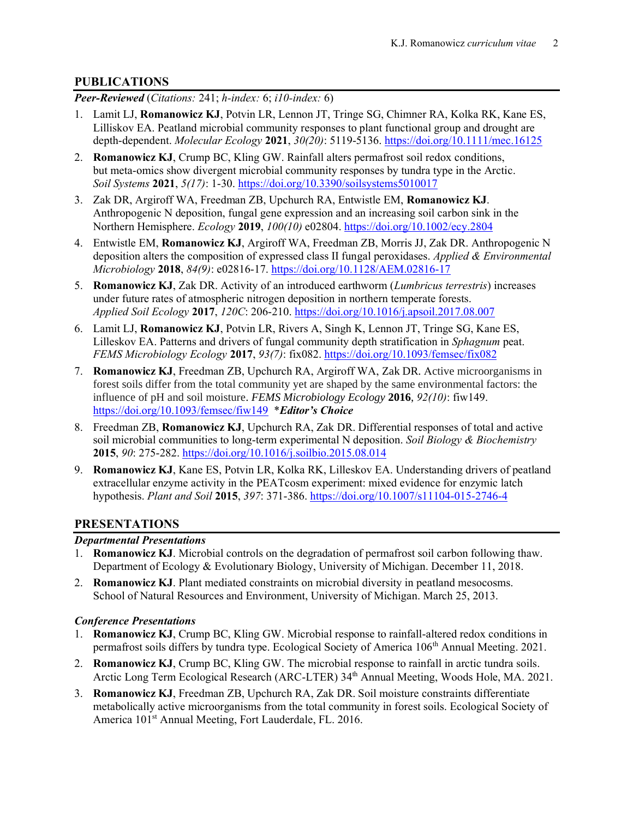## **PUBLICATIONS**

*Peer-Reviewed* (*Citations:* 241; *h-index:* 6; *i10-index:* 6)

- 1. Lamit LJ, **Romanowicz KJ**, Potvin LR, Lennon JT, Tringe SG, Chimner RA, Kolka RK, Kane ES, Lilliskov EA. Peatland microbial community responses to plant functional group and drought are depth-dependent. *Molecular Ecology* **2021**, *30(20)*: 5119-5136. <https://doi.org/10.1111/mec.16125>
- 2. **Romanowicz KJ**, Crump BC, Kling GW. Rainfall alters permafrost soil redox conditions, but meta-omics show divergent microbial community responses by tundra type in the Arctic. *Soil Systems* **2021**, *5(17)*: 1-30.<https://doi.org/10.3390/soilsystems5010017>
- 3. Zak DR, Argiroff WA, Freedman ZB, Upchurch RA, Entwistle EM, **Romanowicz KJ**. Anthropogenic N deposition, fungal gene expression and an increasing soil carbon sink in the Northern Hemisphere. *Ecology* **2019**, *100(10)* e02804. [https://doi.org/10.1002/ecy.2804](https://esajournals.onlinelibrary.wiley.com/doi/abs/10.1002/ecy.2804)
- 4. Entwistle EM, **Romanowicz KJ**, Argiroff WA, Freedman ZB, Morris JJ, Zak DR. Anthropogenic N deposition alters the composition of expressed class II fungal peroxidases. *Applied & Environmental Microbiology* **2018**, *84(9)*: e02816-17. [https://doi.org/10.1128/AEM.02816-17](https://aem.asm.org/content/84/9/e02816-17)
- 5. **Romanowicz KJ**, Zak DR. Activity of an introduced earthworm (*Lumbricus terrestris*) increases under future rates of atmospheric nitrogen deposition in northern temperate forests. *Applied Soil Ecology* **2017**, *120C*: 206-210. [https://doi.org/10.1016/j.apsoil.2017.08.007](https://www.sciencedirect.com/science/article/abs/pii/S092913931730570X)
- 6. Lamit LJ, **Romanowicz KJ**, Potvin LR, Rivers A, Singh K, Lennon JT, Tringe SG, Kane ES, Lilleskov EA. Patterns and drivers of fungal community depth stratification in *Sphagnum* peat. *FEMS Microbiology Ecology* **2017**, *93(7)*: fix082. [https://doi.org/10.1093/femsec/fix082](https://academic.oup.com/femsec/article/93/7/fix082/3909725)
- 7. **Romanowicz KJ**, Freedman ZB, Upchurch RA, Argiroff WA, Zak DR. Active microorganisms in forest soils differ from the total community yet are shaped by the same environmental factors: the influence of pH and soil moisture. *FEMS Microbiology Ecology* **2016**, *92(10)*: fiw149. [https://doi.org/10.1093/femsec/fiw149](https://academic.oup.com/femsec/article/92/10/fiw149/2197794) \**Editor's Choice*
- 8. Freedman ZB, **Romanowicz KJ**, Upchurch RA, Zak DR. Differential responses of total and active soil microbial communities to long-term experimental N deposition. *Soil Biology & Biochemistry* **2015**, *90*: 275-282. [https://doi.org/10.1016/j.soilbio.2015.08.014](https://www.sciencedirect.com/science/article/abs/pii/S0038071715002928)
- 9. **Romanowicz KJ**, Kane ES, Potvin LR, Kolka RK, Lilleskov EA. Understanding drivers of peatland extracellular enzyme activity in the PEATcosm experiment: mixed evidence for enzymic latch hypothesis. *Plant and Soil* **2015**, *397*: 371-386. [https://doi.org/10.1007/s11104-015-2746-4](https://link.springer.com/article/10.1007%2Fs11104-015-2746-4)

## **PRESENTATIONS**

#### *Departmental Presentations*

- 1. **Romanowicz KJ**. Microbial controls on the degradation of permafrost soil carbon following thaw. Department of Ecology & Evolutionary Biology, University of Michigan. December 11, 2018.
- 2. **Romanowicz KJ**. Plant mediated constraints on microbial diversity in peatland mesocosms. School of Natural Resources and Environment, University of Michigan. March 25, 2013.

#### *Conference Presentations*

- 1. **Romanowicz KJ**, Crump BC, Kling GW. Microbial response to rainfall-altered redox conditions in permafrost soils differs by tundra type. Ecological Society of America 106<sup>th</sup> Annual Meeting. 2021.
- 2. **Romanowicz KJ**, Crump BC, Kling GW. The microbial response to rainfall in arctic tundra soils. Arctic Long Term Ecological Research (ARC-LTER) 34<sup>th</sup> Annual Meeting, Woods Hole, MA. 2021.
- 3. **Romanowicz KJ**, Freedman ZB, Upchurch RA, Zak DR. Soil moisture constraints differentiate metabolically active microorganisms from the total community in forest soils. Ecological Society of America 101<sup>st</sup> Annual Meeting, Fort Lauderdale, FL. 2016.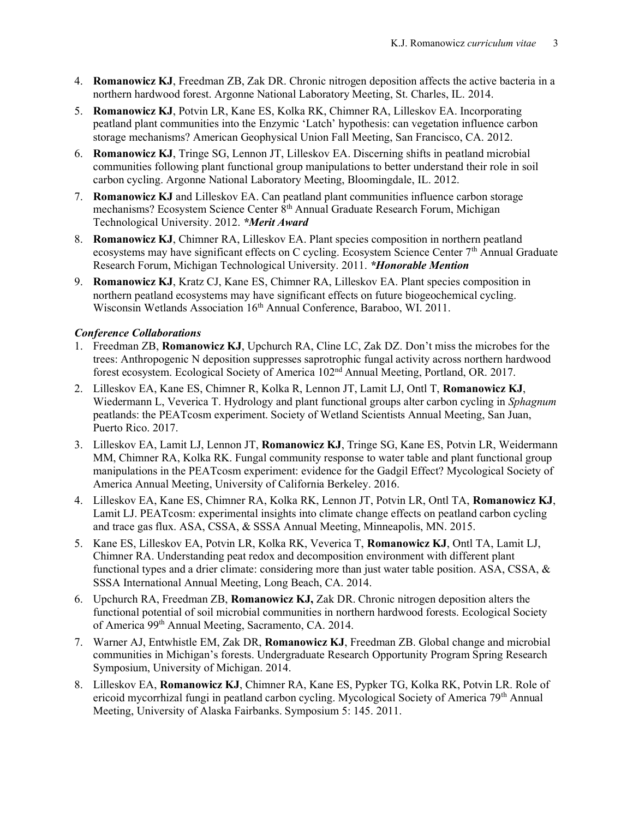- 4. **Romanowicz KJ**, Freedman ZB, Zak DR. Chronic nitrogen deposition affects the active bacteria in a northern hardwood forest. Argonne National Laboratory Meeting, St. Charles, IL. 2014.
- 5. **Romanowicz KJ**, Potvin LR, Kane ES, Kolka RK, Chimner RA, Lilleskov EA. Incorporating peatland plant communities into the Enzymic 'Latch' hypothesis: can vegetation influence carbon storage mechanisms? American Geophysical Union Fall Meeting, San Francisco, CA. 2012.
- 6. **Romanowicz KJ**, Tringe SG, Lennon JT, Lilleskov EA. Discerning shifts in peatland microbial communities following plant functional group manipulations to better understand their role in soil carbon cycling. Argonne National Laboratory Meeting, Bloomingdale, IL. 2012.
- 7. **Romanowicz KJ** and Lilleskov EA. Can peatland plant communities influence carbon storage mechanisms? Ecosystem Science Center  $8<sup>th</sup>$  Annual Graduate Research Forum, Michigan Technological University. 2012. *\*Merit Award*
- 8. **Romanowicz KJ**, Chimner RA, Lilleskov EA. Plant species composition in northern peatland ecosystems may have significant effects on C cycling. Ecosystem Science Center  $7<sup>th</sup>$  Annual Graduate Research Forum, Michigan Technological University. 2011. *\*Honorable Mention*
- 9. **Romanowicz KJ**, Kratz CJ, Kane ES, Chimner RA, Lilleskov EA. Plant species composition in northern peatland ecosystems may have significant effects on future biogeochemical cycling. Wisconsin Wetlands Association 16<sup>th</sup> Annual Conference, Baraboo, WI. 2011.

#### *Conference Collaborations*

- 1. Freedman ZB, **Romanowicz KJ**, Upchurch RA, Cline LC, Zak DZ. Don't miss the microbes for the trees: Anthropogenic N deposition suppresses saprotrophic fungal activity across northern hardwood forest ecosystem. Ecological Society of America 102<sup>nd</sup> Annual Meeting, Portland, OR. 2017.
- 2. Lilleskov EA, Kane ES, Chimner R, Kolka R, Lennon JT, Lamit LJ, Ontl T, **Romanowicz KJ**, Wiedermann L, Veverica T. Hydrology and plant functional groups alter carbon cycling in *Sphagnum* peatlands: the PEATcosm experiment. Society of Wetland Scientists Annual Meeting, San Juan, Puerto Rico. 2017.
- 3. Lilleskov EA, Lamit LJ, Lennon JT, **Romanowicz KJ**, Tringe SG, Kane ES, Potvin LR, Weidermann MM, Chimner RA, Kolka RK. Fungal community response to water table and plant functional group manipulations in the PEATcosm experiment: evidence for the Gadgil Effect? Mycological Society of America Annual Meeting, University of California Berkeley. 2016.
- 4. Lilleskov EA, Kane ES, Chimner RA, Kolka RK, Lennon JT, Potvin LR, Ontl TA, **Romanowicz KJ**, Lamit LJ. PEATcosm: experimental insights into climate change effects on peatland carbon cycling and trace gas flux. ASA, CSSA, & SSSA Annual Meeting, Minneapolis, MN. 2015.
- 5. Kane ES, Lilleskov EA, Potvin LR, Kolka RK, Veverica T, **Romanowicz KJ**, Ontl TA, Lamit LJ, Chimner RA. Understanding peat redox and decomposition environment with different plant functional types and a drier climate: considering more than just water table position. ASA, CSSA, & SSSA International Annual Meeting, Long Beach, CA. 2014.
- 6. Upchurch RA, Freedman ZB, **Romanowicz KJ,** Zak DR. Chronic nitrogen deposition alters the functional potential of soil microbial communities in northern hardwood forests. Ecological Society of America 99<sup>th</sup> Annual Meeting, Sacramento, CA. 2014.
- 7. Warner AJ, Entwhistle EM, Zak DR, **Romanowicz KJ**, Freedman ZB. Global change and microbial communities in Michigan's forests. Undergraduate Research Opportunity Program Spring Research Symposium, University of Michigan. 2014.
- 8. Lilleskov EA, **Romanowicz KJ**, Chimner RA, Kane ES, Pypker TG, Kolka RK, Potvin LR. Role of ericoid mycorrhizal fungi in peatland carbon cycling. Mycological Society of America 79<sup>th</sup> Annual Meeting, University of Alaska Fairbanks. Symposium 5: 145. 2011.